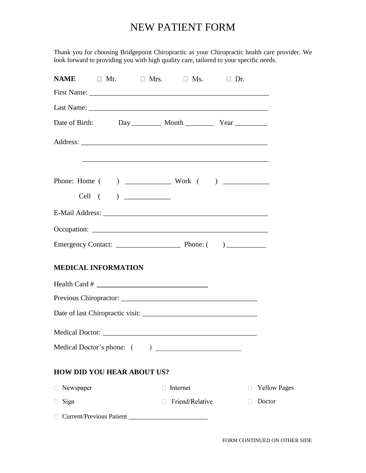# NEW PATIENT FORM

Thank you for choosing Bridgepoint Chiropractic as your Chiropractic health care provider. We look forward to providing you with high quality care, tailored to your specific needs.

|                                   |   | <b>NAME</b> $\Box$ Mr. $\Box$ Mrs. $\Box$ Ms. $\Box$ Dr.                        |              |                     |
|-----------------------------------|---|---------------------------------------------------------------------------------|--------------|---------------------|
|                                   |   |                                                                                 |              |                     |
|                                   |   |                                                                                 |              |                     |
|                                   |   |                                                                                 |              |                     |
|                                   |   | <u> 1989 - Johann Stoff, amerikansk politiker (* 1908)</u>                      |              |                     |
|                                   |   |                                                                                 |              |                     |
|                                   |   |                                                                                 |              |                     |
|                                   |   |                                                                                 |              |                     |
|                                   |   |                                                                                 |              |                     |
|                                   |   | Emergency Contact: $\frac{1}{\sqrt{1-\frac{1}{2}} \cdot \frac{1}{2}}$ Phone: () |              |                     |
| <b>MEDICAL INFORMATION</b>        |   |                                                                                 |              |                     |
|                                   |   |                                                                                 |              |                     |
|                                   |   |                                                                                 |              |                     |
|                                   |   |                                                                                 |              |                     |
|                                   |   |                                                                                 |              |                     |
|                                   |   |                                                                                 |              |                     |
| <b>HOW DID YOU HEAR ABOUT US?</b> |   |                                                                                 |              |                     |
| □ Newspaper                       |   | Internet                                                                        | $\mathbf{1}$ | <b>Yellow Pages</b> |
| $\Box$ Sign                       | П | Friend/Relative                                                                 |              | Doctor              |
|                                   |   |                                                                                 |              |                     |
|                                   |   |                                                                                 |              |                     |